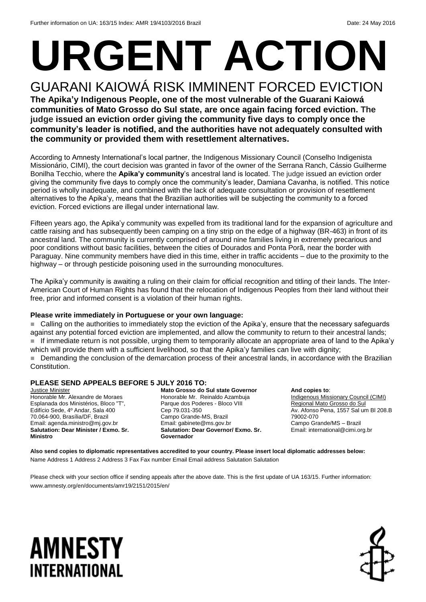# **URGENT ACTION** GUARANI KAIOWÁ RISK IMMINENT FORCED EVICTION

**The Apika'y Indigenous People, one of the most vulnerable of the Guarani Kaiowá communities of Mato Grosso do Sul state, are once again facing forced eviction. The judge issued an eviction order giving the community five days to comply once the community's leader is notified, and the authorities have not adequately consulted with the community or provided them with resettlement alternatives.** 

According to Amnesty International's local partner, the Indigenous Missionary Council (Conselho Indigenista Missionário, CIMI), the court decision was granted in favor of the owner of the Serrana Ranch, Cássio Guilherme Bonilha Tecchio, where the **Apika'y community**'s ancestral land is located. The judge issued an eviction order giving the community five days to comply once the community's leader, Damiana Cavanha, is notified. This notice period is wholly inadequate, and combined with the lack of adequate consultation or provision of resettlement alternatives to the Apika'y, means that the Brazilian authorities will be subjecting the community to a forced eviction. Forced evictions are illegal under international law.

Fifteen years ago, the Apika'y community was expelled from its traditional land for the expansion of agriculture and cattle raising and has subsequently been camping on a tiny strip on the edge of a highway (BR-463) in front of its ancestral land. The community is currently comprised of around nine families living in extremely precarious and poor conditions without basic facilities, between the cities of Dourados and Ponta Porã, near the border with Paraguay. Nine community members have died in this time, either in traffic accidents – due to the proximity to the highway – or through pesticide poisoning used in the surrounding monocultures.

The Apika'y community is awaiting a ruling on their claim for official recognition and titling of their lands. The Inter-American Court of Human Rights has found that the relocation of Indigenous Peoples from their land without their free, prior and informed consent is a violation of their human rights.

#### **Please write immediately in Portuguese or your own language:**

 Calling on the authorities to immediately stop the eviction of the Apika'y, ensure that the necessary safeguards against any potential forced eviction are implemented, and allow the community to return to their ancestral lands; If immediate return is not possible, urging them to temporarily allocate an appropriate area of land to the Apika'y which will provide them with a sufficient livelihood, so that the Apika'y families can live with dignity;

Demanding the conclusion of the demarcation process of their ancestral lands, in accordance with the Brazilian Constitution.

#### **PLEASE SEND APPEALS BEFORE 5 JULY 2016 TO:**

**Justice Minister** Honorable Mr. Alexandre de Moraes Esplanada dos Ministérios, Bloco "T", Edifício Sede, 4º Andar, Sala 400 70.064-900, Brasília/DF, Brazil Email: [agenda.ministro@mj.gov.br](mailto:agenda.ministro@mj.gov.br) **Salutation: Dear Minister / Exmo. Sr. Ministro**

**Mato Grosso do Sul state Governor** Honorable Mr. Reinaldo Azambuja Parque dos Poderes - Bloco VIII Cep 79.031-350 Campo Grande-MS, Brazil Email: gabinete@ms.gov.br **Salutation: Dear Governor/ Exmo. Sr. Governador**

**And copies to**: Indigenous Missionary Council (CIMI) Regional Mato Grosso do Sul Av. Afonso Pena, 1557 Sal um Bl 208.B 79002-070 Campo Grande/MS – Brazil Email: international@cimi.org.br

**Also send copies to diplomatic representatives accredited to your country. Please insert local diplomatic addresses below:** Name Address 1 Address 2 Address 3 Fax Fax number Email Email address Salutation Salutation

Please check with your section office if sending appeals after the above date. This is the first update of UA 163/15. Further information: www.amnesty.org/en/documents/amr19/2151/2015/en/

## **AMNESTY** INTERNATIONAL